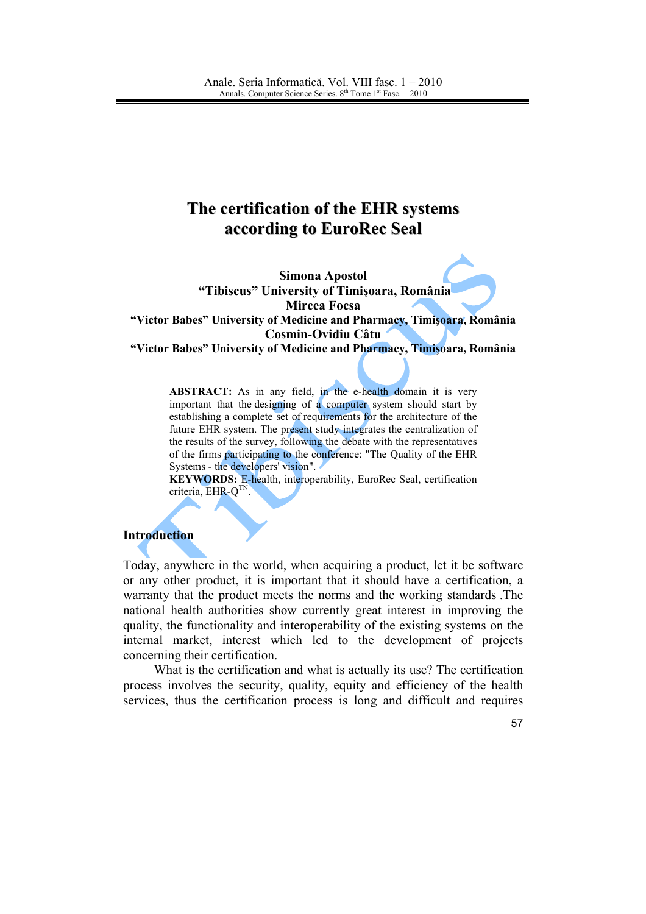# The certification of the EHR systems according to EuroRec Seal

**Simona Apostol** "Tibiscus" University of Timișoara, România **Mircea Focsa** "Victor Babes" University of Medicine and Pharmacy, Timisoara, România Cosmin-Ovidiu Câtu "Victor Babes" University of Medicine and Pharmacy, Timisoara, România

ABSTRACT: As in any field, in the e-health domain it is very important that the designing of a computer system should start by establishing a complete set of requirements for the architecture of the future EHR system. The present study integrates the centralization of the results of the survey, following the debate with the representatives of the firms participating to the conference: "The Quality of the EHR Systems - the developers' vision".

KEYWORDS: E-health, interoperability, EuroRec Seal, certification criteria, EHR-OTN

#### **Introduction**

Today, anywhere in the world, when acquiring a product, let it be software or any other product, it is important that it should have a certification, a warranty that the product meets the norms and the working standards. The national health authorities show currently great interest in improving the quality, the functionality and interoperability of the existing systems on the internal market, interest which led to the development of projects concerning their certification.

What is the certification and what is actually its use? The certification process involves the security, quality, equity and efficiency of the health services, thus the certification process is long and difficult and requires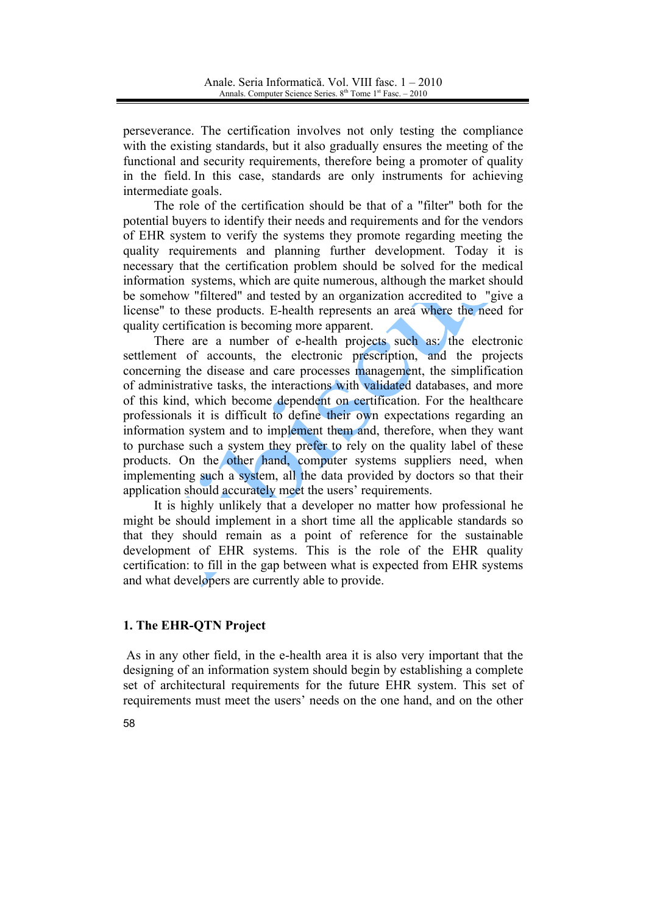perseverance. The certification involves not only testing the compliance with the existing standards, but it also gradually ensures the meeting of the functional and security requirements, therefore being a promoter of quality in the field. In this case, standards are only instruments for achieving intermediate goals.

The role of the certification should be that of a "filter" both for the potential buyers to identify their needs and requirements and for the vendors of EHR system to verify the systems they promote regarding meeting the quality requirements and planning further development. Today it is necessary that the certification problem should be solved for the medical information systems, which are quite numerous, although the market should be somehow "filtered" and tested by an organization accredited to "give a license" to these products. E-health represents an area where the need for quality certification is becoming more apparent.

There are a number of e-health projects such as the electronic settlement of accounts, the electronic prescription, and the projects concerning the disease and care processes management, the simplification of administrative tasks, the interactions with validated databases, and more of this kind, which become dependent on certification. For the healthcare professionals it is difficult to define their own expectations regarding an information system and to implement them and, therefore, when they want to purchase such a system they prefer to rely on the quality label of these products. On the other hand, computer systems suppliers need, when implementing such a system, all the data provided by doctors so that their application should accurately meet the users' requirements.

It is highly unlikely that a developer no matter how professional he might be should implement in a short time all the applicable standards so that they should remain as a point of reference for the sustainable development of EHR systems. This is the role of the EHR quality certification: to fill in the gap between what is expected from EHR systems and what developers are currently able to provide.

# 1. The EHR-OTN Project

As in any other field, in the e-health area it is also very important that the designing of an information system should begin by establishing a complete set of architectural requirements for the future EHR system. This set of requirements must meet the users' needs on the one hand, and on the other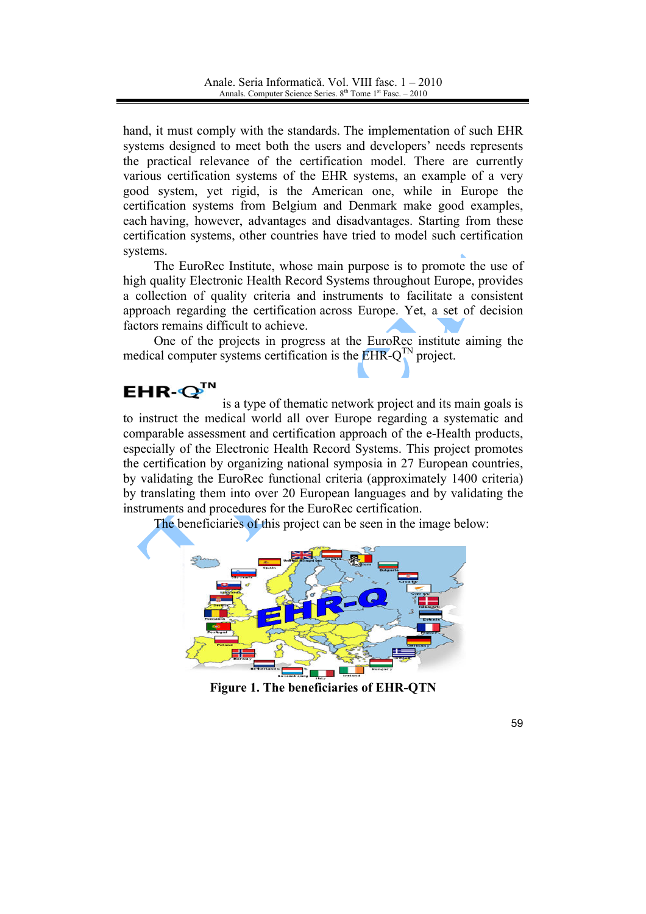hand, it must comply with the standards. The implementation of such EHR systems designed to meet both the users and developers' needs represents the practical relevance of the certification model. There are currently various certification systems of the EHR systems, an example of a very good system, yet rigid, is the American one, while in Europe the certification systems from Belgium and Denmark make good examples, each having, however, advantages and disadvantages. Starting from these certification systems, other countries have tried to model such certification systems.

The EuroRec Institute, whose main purpose is to promote the use of high quality Electronic Health Record Systems throughout Europe, provides a collection of quality criteria and instruments to facilitate a consistent approach regarding the certification across Europe. Yet, a set of decision factors remains difficult to achieve.

One of the projects in progress at the EuroRec institute aiming the medical computer systems certification is the  $EHR-Q^{TN}$  project.

# $EHR - Q^{TN}$

is a type of thematic network project and its main goals is to instruct the medical world all over Europe regarding a systematic and comparable assessment and certification approach of the e-Health products. especially of the Electronic Health Record Systems. This project promotes the certification by organizing national symposia in 27 European countries, by validating the EuroRec functional criteria (approximately 1400 criteria) by translating them into over 20 European languages and by validating the instruments and procedures for the EuroRec certification.

The beneficiaries of this project can be seen in the image below:



**Figure 1. The beneficiaries of EHR-OTN**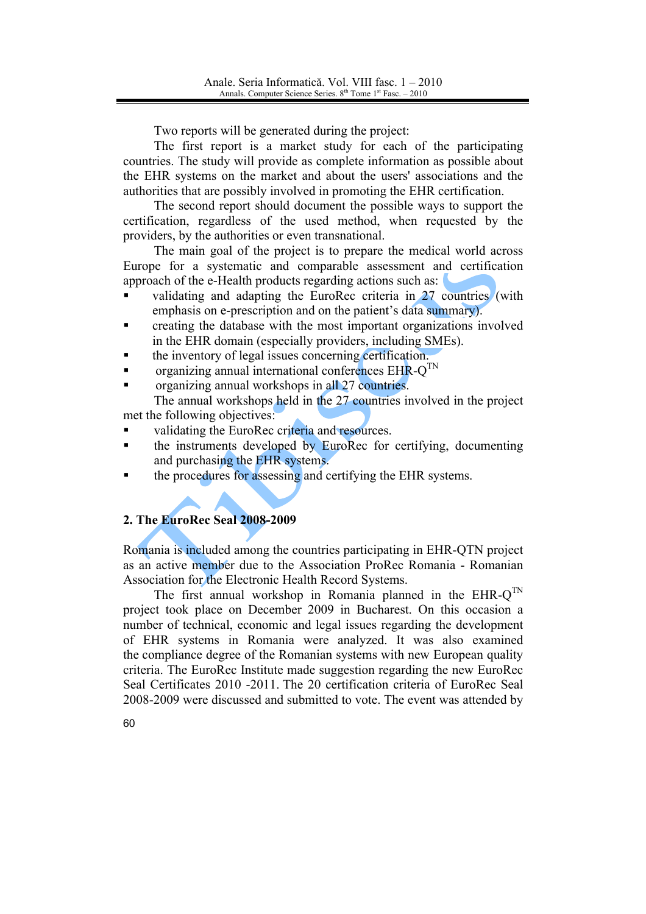Two reports will be generated during the project:

The first report is a market study for each of the participating countries. The study will provide as complete information as possible about the EHR systems on the market and about the users' associations and the authorities that are possibly involved in promoting the EHR certification.

The second report should document the possible ways to support the certification, regardless of the used method, when requested by the providers, by the authorities or even transnational.

The main goal of the project is to prepare the medical world across Europe for a systematic and comparable assessment and certification approach of the e-Health products regarding actions such as:

- validating and adapting the EuroRec criteria in 27 countries (with emphasis on e-prescription and on the patient's data summary).
- $\blacksquare$ creating the database with the most important organizations involved in the EHR domain (especially providers, including SMEs).
- the inventory of legal issues concerning certification.
- organizing annual international conferences EHR-O<sup>TN</sup>
- organizing annual workshops in all 27 countries.

The annual workshops held in the 27 countries involved in the project met the following objectives:

- validating the EuroRec criteria and resources.
- the instruments developed by EuroRec for certifying, documenting  $\blacksquare$ and purchasing the EHR systems.
- the procedures for assessing and certifying the EHR systems.

### 2. The EuroRec Seal 2008-2009

Romania is included among the countries participating in EHR-QTN project as an active member due to the Association ProRec Romania - Romanian Association for the Electronic Health Record Systems.

The first annual workshop in Romania planned in the EHR- $Q^{TN}$ project took place on December 2009 in Bucharest. On this occasion a number of technical, economic and legal issues regarding the development of EHR systems in Romania were analyzed. It was also examined the compliance degree of the Romanian systems with new European quality criteria. The EuroRec Institute made suggestion regarding the new EuroRec Seal Certificates 2010 -2011. The 20 certification criteria of EuroRec Seal 2008-2009 were discussed and submitted to vote. The event was attended by

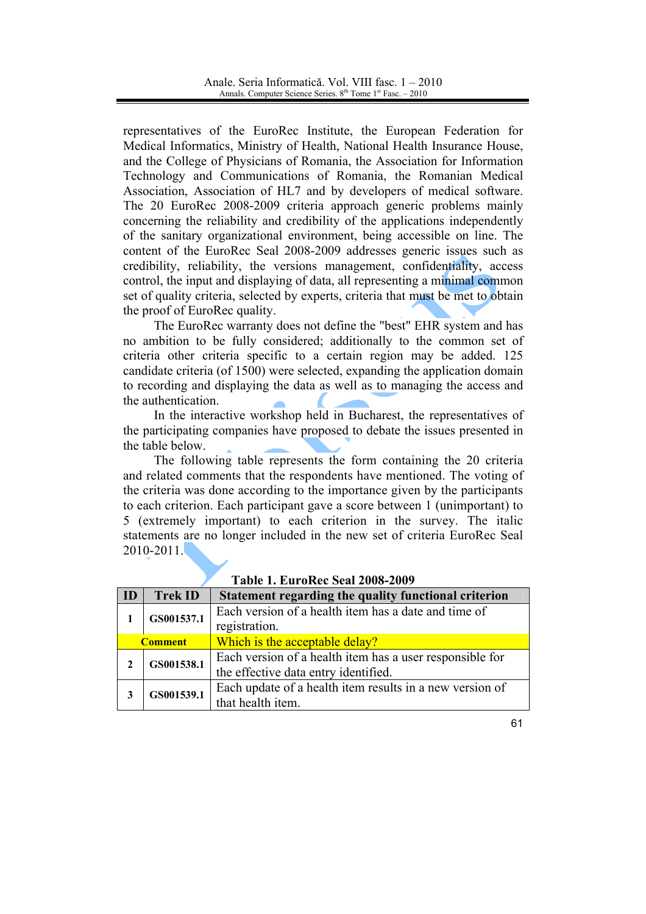representatives of the EuroRec Institute, the European Federation for Medical Informatics, Ministry of Health, National Health Insurance House, and the College of Physicians of Romania, the Association for Information Technology and Communications of Romania, the Romanian Medical Association, Association of HL7 and by developers of medical software. The 20 EuroRec 2008-2009 criteria approach generic problems mainly concerning the reliability and credibility of the applications independently of the sanitary organizational environment, being accessible on line. The content of the EuroRec Seal 2008-2009 addresses generic issues such as credibility, reliability, the versions management, confidentiality, access control, the input and displaying of data, all representing a minimal common set of quality criteria, selected by experts, criteria that must be met to obtain the proof of EuroRec quality.

The EuroRec warranty does not define the "best" EHR system and has no ambition to be fully considered; additionally to the common set of criteria other criteria specific to a certain region may be added. 125 candidate criteria (of 1500) were selected, expanding the application domain to recording and displaying the data as well as to managing the access and the authentication

In the interactive workshop held in Bucharest, the representatives of the participating companies have proposed to debate the issues presented in the table below.

The following table represents the form containing the 20 criteria and related comments that the respondents have mentioned. The voting of the criteria was done according to the importance given by the participants to each criterion. Each participant gave a score between 1 (unimportant) to 5 (extremely important) to each criterion in the survey. The italic statements are no longer included in the new set of criteria EuroRec Seal  $2010 - 2011.$ 

| TADIC 1. EUI OIXXX DXAI ZOOO-ZOOZ |                |                                                          |  |  |
|-----------------------------------|----------------|----------------------------------------------------------|--|--|
| ID                                | <b>Trek ID</b> | Statement regarding the quality functional criterion     |  |  |
|                                   | GS001537.1     | Each version of a health item has a date and time of     |  |  |
|                                   |                | registration.                                            |  |  |
| <b>Comment</b>                    |                | Which is the acceptable delay?                           |  |  |
| $\mathfrak{D}$                    | GS001538.1     | Each version of a health item has a user responsible for |  |  |
|                                   |                | the effective data entry identified.                     |  |  |
| 3                                 | GS001539.1     | Each update of a health item results in a new version of |  |  |
|                                   |                | that health item.                                        |  |  |

Table 1 EuroRec Seal 2008-2009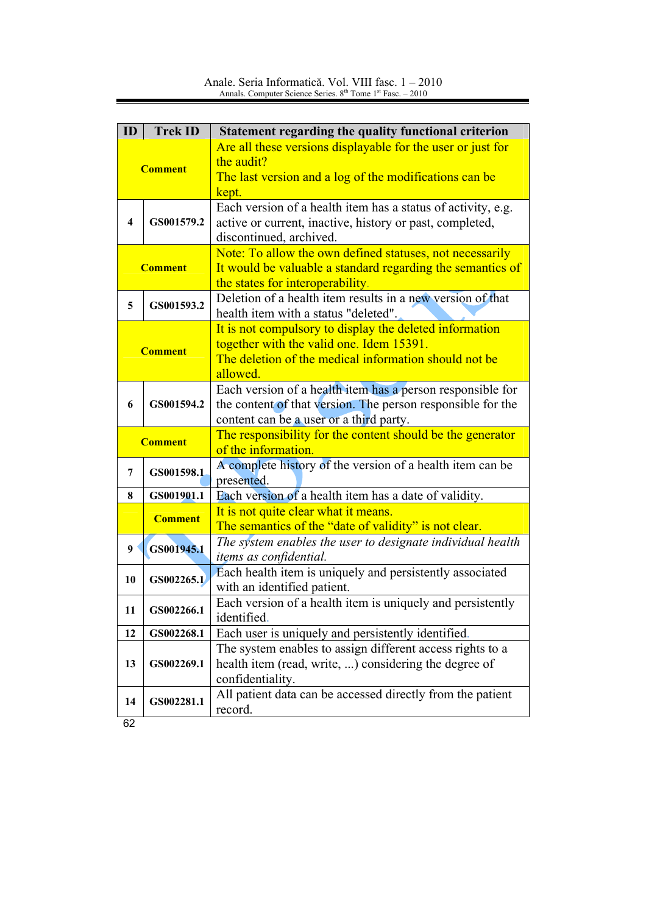Anale. Seria Informatică. Vol. VIII fasc.  $1 - 2010$ <br>Annals. Computer Science Series.  $8^{\text{th}}$  Tome  $1^{\text{st}}$  Fasc.  $-2010$ 

| ID             | <b>Trek ID</b> | Statement regarding the quality functional criterion                                                                                                                     |
|----------------|----------------|--------------------------------------------------------------------------------------------------------------------------------------------------------------------------|
| <b>Comment</b> |                | Are all these versions displayable for the user or just for<br>the audit?<br>The last version and a log of the modifications can be<br>kept.                             |
| 4              | GS001579.2     | Each version of a health item has a status of activity, e.g.<br>active or current, inactive, history or past, completed,<br>discontinued, archived.                      |
| <b>Comment</b> |                | Note: To allow the own defined statuses, not necessarily<br>It would be valuable a standard regarding the semantics of<br>the states for interoperability.               |
| 5              | GS001593.2     | Deletion of a health item results in a new version of that<br>health item with a status "deleted".                                                                       |
| <b>Comment</b> |                | It is not compulsory to display the deleted information<br>together with the valid one. Idem 15391.<br>The deletion of the medical information should not be<br>allowed. |
| 6              | GS001594.2     | Each version of a health item has a person responsible for<br>the content of that version. The person responsible for the<br>content can be a user or a third party.     |
| <b>Comment</b> |                | The responsibility for the content should be the generator<br>of the information.                                                                                        |
| 7              | GS001598.1     | A complete history of the version of a health item can be<br>presented.                                                                                                  |
| 8              | GS001901.1     | Each version of a health item has a date of validity.                                                                                                                    |
|                | <b>Comment</b> | It is not quite clear what it means.<br>The semantics of the "date of validity" is not clear.                                                                            |
| 9              | GS001945.1     | The system enables the user to designate individual health<br>items as confidential.                                                                                     |
| 10             | GS002265.1     | Each health item is uniquely and persistently associated<br>with an identified patient.                                                                                  |
| 11             | GS002266.1     | Each version of a health item is uniquely and persistently<br>identified.                                                                                                |
| 12             | GS002268.1     | Each user is uniquely and persistently identified.                                                                                                                       |
| 13             | GS002269.1     | The system enables to assign different access rights to a<br>health item (read, write, ) considering the degree of<br>confidentiality.                                   |
| 14             | GS002281.1     | All patient data can be accessed directly from the patient<br>record.                                                                                                    |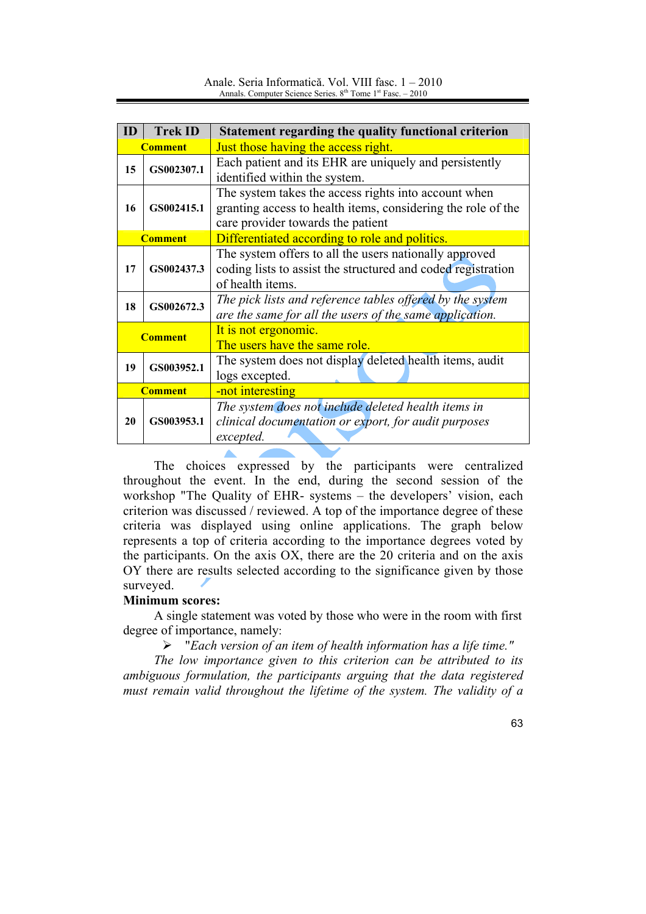Anale. Seria Informatică. Vol. VIII fasc. 1 - 2010 Annals. Computer Science Series.  $8^{th}$  Tome 1<sup>st</sup> Fasc. - 2010

| ID             | <b>Trek ID</b> | Statement regarding the quality functional criterion                                              |
|----------------|----------------|---------------------------------------------------------------------------------------------------|
| <b>Comment</b> |                | Just those having the access right.                                                               |
| 15             | GS002307.1     | Each patient and its EHR are uniquely and persistently                                            |
|                |                | identified within the system.                                                                     |
| 16             | GS002415.1     | The system takes the access rights into account when                                              |
|                |                | granting access to health items, considering the role of the<br>care provider towards the patient |
|                | <b>Comment</b> | Differentiated according to role and politics.                                                    |
| 17             | GS002437.3     | The system offers to all the users nationally approved                                            |
|                |                | coding lists to assist the structured and coded registration                                      |
|                |                | of health items.                                                                                  |
| 18             | GS002672.3     | The pick lists and reference tables offered by the system                                         |
|                |                | are the same for all the users of the same application.                                           |
| <b>Comment</b> |                | It is not ergonomic.                                                                              |
|                |                | The users have the same role.                                                                     |
| 19             | GS003952.1     | The system does not display deleted health items, audit                                           |
|                |                | logs excepted.                                                                                    |
| <b>Comment</b> |                | -not interesting                                                                                  |
| 20             | GS003953.1     | The system does not include deleted health items in                                               |
|                |                | clinical documentation or export, for audit purposes                                              |
|                |                | excepted.                                                                                         |

The choices expressed by the participants were centralized throughout the event. In the end, during the second session of the workshop "The Quality of EHR- systems – the developers' vision, each criterion was discussed / reviewed. A top of the importance degree of these criteria was displayed using online applications. The graph below represents a top of criteria according to the importance degrees voted by the participants. On the axis OX, there are the 20 criteria and on the axis OY there are results selected according to the significance given by those surveyed.

#### **Minimum scores:**

A single statement was voted by those who were in the room with first degree of importance, namely:

 $\triangleright$  "Each version of an item of health information has a life time."

The low importance given to this criterion can be attributed to its ambiguous formulation, the participants arguing that the data registered must remain valid throughout the lifetime of the system. The validity of a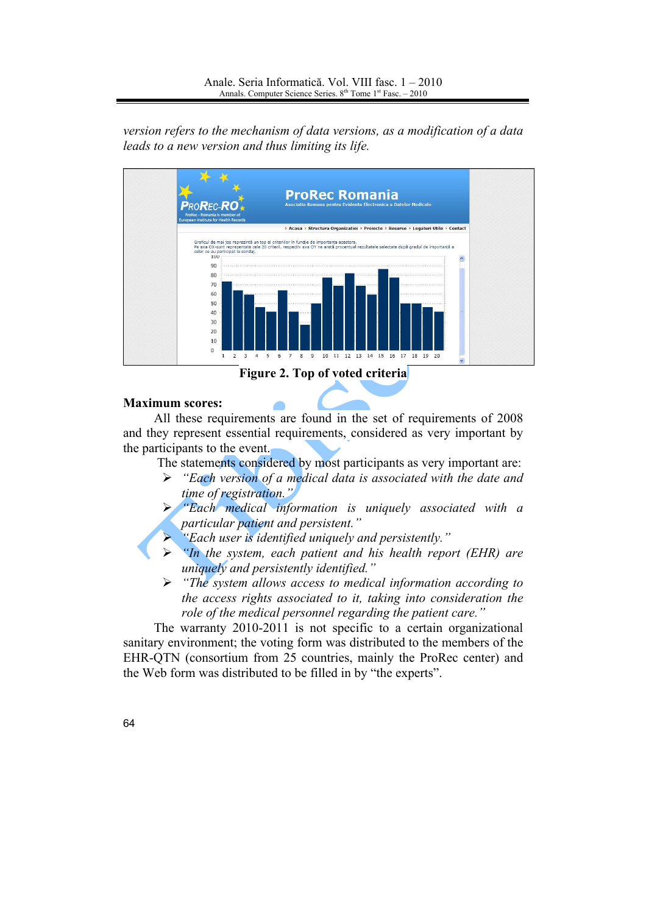version refers to the mechanism of data versions, as a modification of a data leads to a new version and thus limiting its life.



Figure 2. Top of voted criteria

#### **Maximum scores:**

All these requirements are found in the set of requirements of 2008 and they represent essential requirements, considered as very important by the participants to the event.

The statements considered by most participants as very important are:

- $\triangleright$  "Each version of a medical data is associated with the date and time of registration."
- > "Each medical information is uniquely associated with a particular patient and persistent."
- "Each user is identified uniquely and persistently."  $\blacktriangleright$
- $\triangleright$  "In the system, each patient and his health report (EHR) are uniquely and persistently identified."
- $\triangleright$  "The system allows access to medical information according to the access rights associated to it, taking into consideration the role of the medical personnel regarding the patient care."

The warranty 2010-2011 is not specific to a certain organizational sanitary environment; the voting form was distributed to the members of the EHR-QTN (consortium from 25 countries, mainly the ProRec center) and the Web form was distributed to be filled in by "the experts".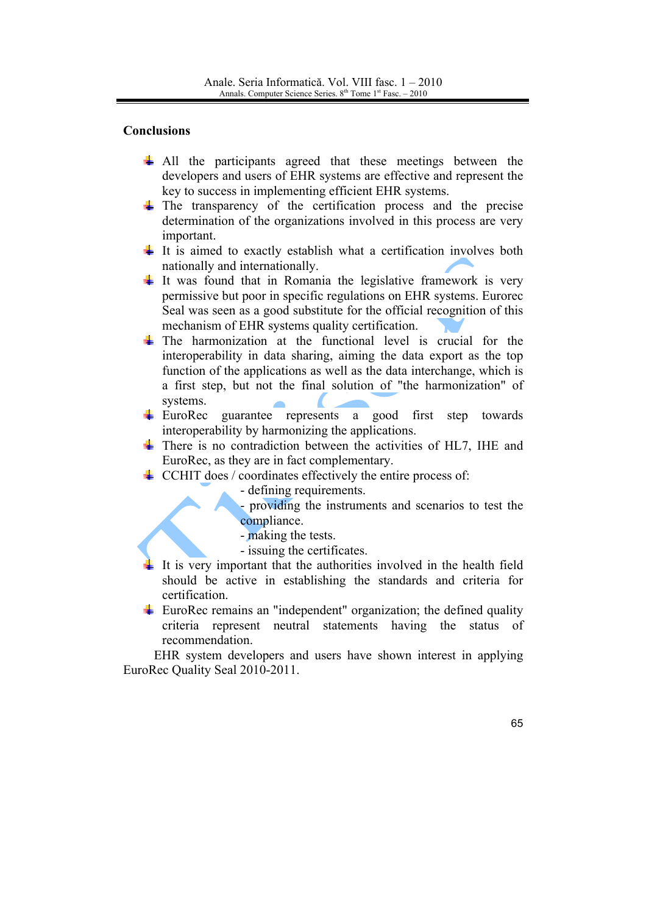## **Conclusions**

- $\pm$  All the participants agreed that these meetings between the developers and users of EHR systems are effective and represent the key to success in implementing efficient EHR systems.
- $\downarrow$  The transparency of the certification process and the precise determination of the organizations involved in this process are very important.
- $\ddagger$  It is aimed to exactly establish what a certification involves both nationally and internationally.
- $\pm$  It was found that in Romania the legislative framework is very permissive but poor in specific regulations on EHR systems. Eurorec Seal was seen as a good substitute for the official recognition of this mechanism of EHR systems quality certification.
- $\pm$  The harmonization at the functional level is crucial for the interoperability in data sharing, aiming the data export as the top function of the applications as well as the data interchange, which is a first step, but not the final solution of "the harmonization" of systems.
- $\overline{\text{+}}$  EuroRec guarantee represents a good first step towards interoperability by harmonizing the applications.
- $\overline{\text{+}}$  There is no contradiction between the activities of HL7, IHE and EuroRec, as they are in fact complementary.
- $\perp$  CCHIT does / coordinates effectively the entire process of:

- defining requirements.

- providing the instruments and scenarios to test the compliance.

- making the tests.
- issuing the certificates.
- It is very important that the authorities involved in the health field should be active in establishing the standards and criteria for certification.
- $\perp$  EuroRec remains an "independent" organization; the defined quality criteria represent neutral statements having the status of recommendation.

EHR system developers and users have shown interest in applying EuroRec Quality Seal 2010-2011.